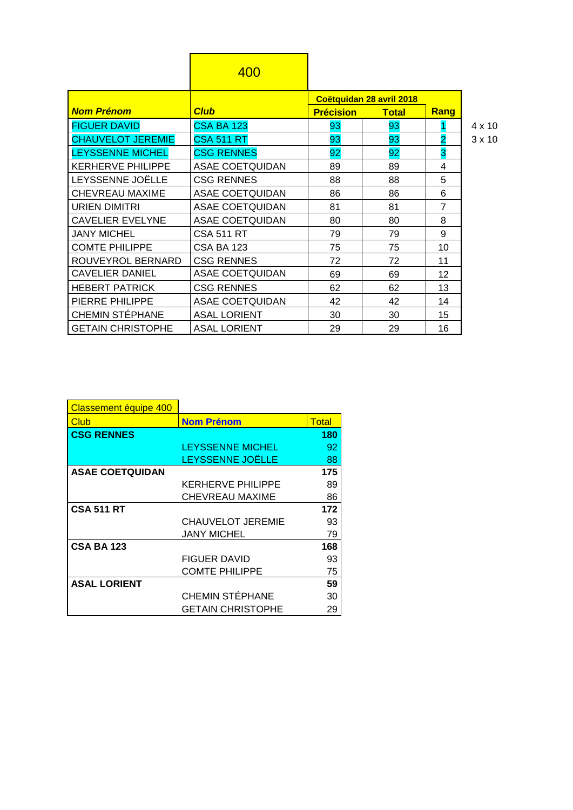|                          | 400                    |                  |                          |                |               |
|--------------------------|------------------------|------------------|--------------------------|----------------|---------------|
|                          |                        |                  | Coëtquidan 28 avril 2018 |                |               |
| <b>Nom Prénom</b>        | <b>Club</b>            | <b>Précision</b> | <b>Total</b>             | Rang           |               |
| <b>FIGUER DAVID</b>      | <b>CSA BA 123</b>      | 93               | 93                       |                | 4 x 10        |
| <b>CHAUVELOT JEREMIE</b> | <b>CSA 511 RT</b>      | 93               | 93                       | $\overline{2}$ | $3 \times 10$ |
| <b>LEYSSENNE MICHEL</b>  | <b>CSG RENNES</b>      | 92               | 92                       | 3              |               |
| <b>KERHERVE PHILIPPE</b> | <b>ASAE COETQUIDAN</b> | 89               | 89                       | 4              |               |
| LEYSSENNE JOËLLE         | <b>CSG RENNES</b>      | 88               | 88                       | 5              |               |
| CHEVREAU MAXIME          | <b>ASAE COETQUIDAN</b> | 86               | 86                       | 6              |               |
| <b>URIEN DIMITRI</b>     | <b>ASAE COETQUIDAN</b> | 81               | 81                       | 7              |               |
| <b>CAVELIER EVELYNE</b>  | <b>ASAE COETQUIDAN</b> | 80               | 80                       | 8              |               |
| <b>JANY MICHEL</b>       | <b>CSA 511 RT</b>      | 79               | 79                       | 9              |               |
| <b>COMTE PHILIPPE</b>    | <b>CSA BA 123</b>      | 75               | 75                       | 10             |               |
| ROUVEYROL BERNARD        | <b>CSG RENNES</b>      | 72               | 72                       | 11             |               |
| <b>CAVELIER DANIEL</b>   | <b>ASAE COETQUIDAN</b> | 69               | 69                       | 12             |               |
| <b>HEBERT PATRICK</b>    | <b>CSG RENNES</b>      | 62               | 62                       | 13             |               |
| PIERRE PHILIPPE          | <b>ASAE COETQUIDAN</b> | 42               | 42                       | 14             |               |
| <b>CHEMIN STÉPHANE</b>   | <b>ASAL LORIENT</b>    | 30               | 30                       | 15             |               |
| <b>GETAIN CHRISTOPHE</b> | <b>ASAL LORIENT</b>    | 29               | 29                       | 16             |               |

| ⊄ |   | x 10 |
|---|---|------|
|   | x | 10   |

| Classement équipe 400  |                          |              |
|------------------------|--------------------------|--------------|
| <b>Club</b>            | <b>Nom Prénom</b>        | <b>Total</b> |
| <b>CSG RENNES</b>      |                          | 180          |
|                        | <b>LEYSSENNE MICHEL</b>  | 92           |
|                        | LEYSSENNE JOËLLE         | 88           |
| <b>ASAE COETQUIDAN</b> |                          | 175          |
|                        | <b>KERHERVE PHILIPPE</b> | 89           |
|                        | <b>CHEVREAU MAXIME</b>   | 86           |
| <b>CSA 511 RT</b>      |                          | 172          |
|                        | <b>CHAUVELOT JEREMIE</b> | 93           |
|                        | <b>JANY MICHEL</b>       | 79           |
| <b>CSA BA 123</b>      |                          | 168          |
|                        | <b>FIGUER DAVID</b>      | 93           |
|                        | <b>COMTE PHILIPPE</b>    | 75           |
| <b>ASAL LORIENT</b>    |                          | 59           |
|                        | <b>CHEMIN STÉPHANE</b>   | 30           |
|                        | <b>GETAIN CHRISTOPHE</b> | 29           |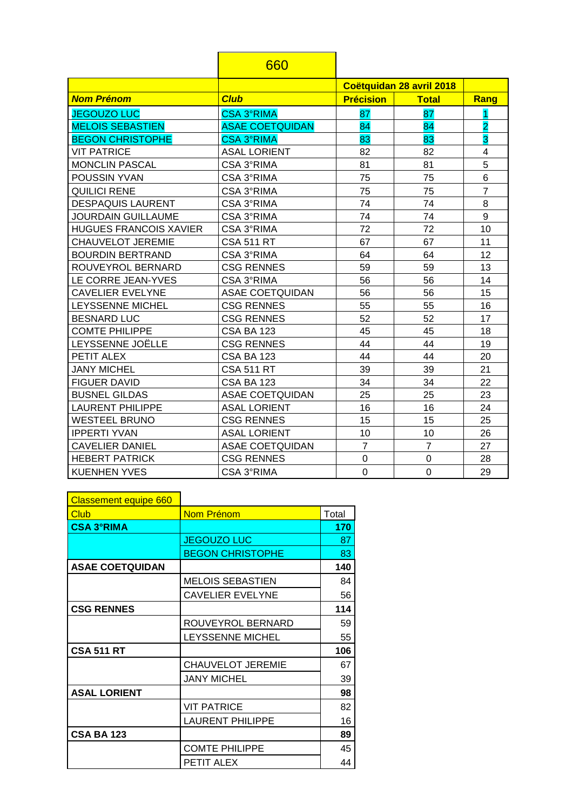|                               | 660                    |                  |                          |                |
|-------------------------------|------------------------|------------------|--------------------------|----------------|
|                               |                        |                  | Coëtquidan 28 avril 2018 |                |
| <b>Nom Prénom</b>             | <b>Club</b>            | <b>Précision</b> | <b>Total</b>             | Rang           |
| <b>JEGOUZO LUC</b>            | <b>CSA 3°RIMA</b>      | 87               | 87                       | 1              |
| <b>MELOIS SEBASTIEN</b>       | <b>ASAE COETQUIDAN</b> | 84               | 84                       | $\overline{2}$ |
| <b>BEGON CHRISTOPHE</b>       | <b>CSA 3°RIMA</b>      | 83               | 83                       | 3              |
| <b>VIT PATRICE</b>            | <b>ASAL LORIENT</b>    | 82               | 82                       | 4              |
| <b>MONCLIN PASCAL</b>         | CSA 3°RIMA             | 81               | 81                       | 5              |
| POUSSIN YVAN                  | CSA 3°RIMA             | 75               | 75                       | 6              |
| <b>QUILICI RENE</b>           | CSA 3°RIMA             | 75               | 75                       | $\overline{7}$ |
| <b>DESPAQUIS LAURENT</b>      | CSA 3°RIMA             | 74               | 74                       | 8              |
| <b>JOURDAIN GUILLAUME</b>     | CSA 3°RIMA             | 74               | 74                       | 9              |
| <b>HUGUES FRANCOIS XAVIER</b> | CSA 3°RIMA             | 72               | 72                       | 10             |
| <b>CHAUVELOT JEREMIE</b>      | <b>CSA 511 RT</b>      | 67               | 67                       | 11             |
| <b>BOURDIN BERTRAND</b>       | CSA 3°RIMA             | 64               | 64                       | 12             |
| ROUVEYROL BERNARD             | <b>CSG RENNES</b>      | 59               | 59                       | 13             |
| LE CORRE JEAN-YVES            | CSA 3°RIMA             | 56               | 56                       | 14             |
| <b>CAVELIER EVELYNE</b>       | <b>ASAE COETQUIDAN</b> | 56               | 56                       | 15             |
| LEYSSENNE MICHEL              | <b>CSG RENNES</b>      | 55               | 55                       | 16             |
| <b>BESNARD LUC</b>            | <b>CSG RENNES</b>      | 52               | 52                       | 17             |
| <b>COMTE PHILIPPE</b>         | <b>CSA BA 123</b>      | 45               | 45                       | 18             |
| LEYSSENNE JOËLLE              | <b>CSG RENNES</b>      | 44               | 44                       | 19             |
| PETIT ALEX                    | <b>CSA BA 123</b>      | 44               | 44                       | 20             |
| <b>JANY MICHEL</b>            | <b>CSA 511 RT</b>      | 39               | 39                       | 21             |
| <b>FIGUER DAVID</b>           | <b>CSA BA 123</b>      | 34               | 34                       | 22             |
| <b>BUSNEL GILDAS</b>          | ASAE COETQUIDAN        | 25               | 25                       | 23             |
| <b>LAURENT PHILIPPE</b>       | <b>ASAL LORIENT</b>    | 16               | 16                       | 24             |
| <b>WESTEEL BRUNO</b>          | <b>CSG RENNES</b>      | 15               | 15                       | 25             |
| <b>IPPERTI YVAN</b>           | <b>ASAL LORIENT</b>    | 10               | 10                       | 26             |
| <b>CAVELIER DANIEL</b>        | <b>ASAE COETQUIDAN</b> | $\overline{7}$   | $\overline{7}$           | 27             |
| <b>HEBERT PATRICK</b>         | <b>CSG RENNES</b>      | $\mathbf 0$      | $\mathbf 0$              | 28             |
| <b>KUENHEN YVES</b>           | CSA 3°RIMA             | $\mathbf 0$      | 0                        | 29             |

| <b>Classement equipe 660</b> |                          |       |
|------------------------------|--------------------------|-------|
| Club                         | Nom Prénom               | Total |
| <b>CSA 3°RIMA</b>            |                          | 170   |
|                              | <b>JEGOUZO LUC</b>       | 87    |
|                              | <b>BEGON CHRISTOPHE</b>  | 83    |
| <b>ASAE COETQUIDAN</b>       |                          | 140   |
|                              | <b>MELOIS SEBASTIEN</b>  | 84    |
|                              | <b>CAVELIER EVELYNE</b>  | 56    |
| <b>CSG RENNES</b>            |                          | 114   |
|                              | ROUVEYROL BERNARD        | 59    |
|                              | LEYSSENNE MICHEL         | 55    |
| <b>CSA 511 RT</b>            |                          | 106   |
|                              | <b>CHAUVELOT JEREMIE</b> | 67    |
|                              | <b>JANY MICHEL</b>       | 39    |
| <b>ASAL LORIENT</b>          |                          | 98    |
|                              | <b>VIT PATRICE</b>       | 82    |
|                              | <b>LAURENT PHILIPPE</b>  | 16    |
| <b>CSA BA 123</b>            |                          | 89    |
|                              | <b>COMTE PHILIPPE</b>    | 45    |
|                              | PETIT ALEX               | 44    |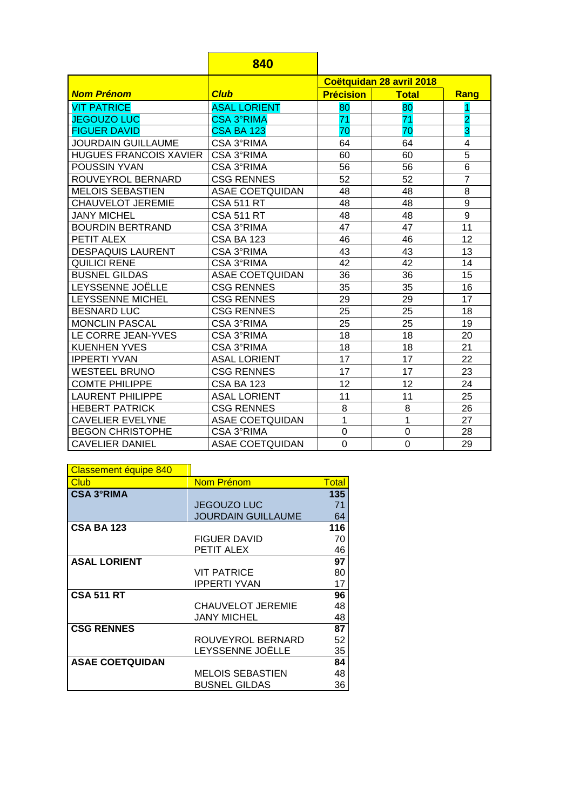|                               | 840                    |                          |                |                         |
|-------------------------------|------------------------|--------------------------|----------------|-------------------------|
|                               |                        | Coëtquidan 28 avril 2018 |                |                         |
| <b>Nom Prénom</b>             | <b>Club</b>            | <b>Précision</b>         | <b>Total</b>   | Rang                    |
| <b>VIT PATRICE</b>            | <b>ASAL LORIENT</b>    | 80                       | 80             | 1                       |
| <b>JEGOUZO LUC</b>            | <b>CSA 3°RIMA</b>      | 71                       | 71             | $\overline{\mathbf{2}}$ |
| <b>FIGUER DAVID</b>           | <b>CSA BA 123</b>      | 70                       | 70             | 3                       |
| <b>JOURDAIN GUILLAUME</b>     | CSA 3°RIMA             | 64                       | 64             | 4                       |
| <b>HUGUES FRANCOIS XAVIER</b> | CSA 3°RIMA             | 60                       | 60             | $\overline{5}$          |
| <b>POUSSIN YVAN</b>           | CSA 3°RIMA             | 56                       | 56             | $\overline{6}$          |
| ROUVEYROL BERNARD             | <b>CSG RENNES</b>      | 52                       | 52             | $\overline{7}$          |
| <b>MELOIS SEBASTIEN</b>       | <b>ASAE COETQUIDAN</b> | 48                       | 48             | 8                       |
| <b>CHAUVELOT JEREMIE</b>      | <b>CSA 511 RT</b>      | 48                       | 48             | $\overline{9}$          |
| <b>JANY MICHEL</b>            | <b>CSA 511 RT</b>      | 48                       | 48             | 9                       |
| <b>BOURDIN BERTRAND</b>       | CSA 3°RIMA             | 47                       | 47             | 11                      |
| PETIT ALEX                    | <b>CSA BA 123</b>      | 46                       | 46             | 12                      |
| <b>DESPAQUIS LAURENT</b>      | CSA 3°RIMA             | 43                       | 43             | 13                      |
| <b>QUILICI RENE</b>           | CSA 3°RIMA             | 42                       | 42             | 14                      |
| <b>BUSNEL GILDAS</b>          | <b>ASAE COETQUIDAN</b> | 36                       | 36             | 15                      |
| LEYSSENNE JOËLLE              | <b>CSG RENNES</b>      | 35                       | 35             | 16                      |
| LEYSSENNE MICHEL              | <b>CSG RENNES</b>      | 29                       | 29             | 17                      |
| <b>BESNARD LUC</b>            | <b>CSG RENNES</b>      | 25                       | 25             | 18                      |
| <b>MONCLIN PASCAL</b>         | CSA 3°RIMA             | 25                       | 25             | 19                      |
| LE CORRE JEAN-YVES            | CSA 3°RIMA             | 18                       | 18             | 20                      |
| <b>KUENHEN YVES</b>           | CSA 3°RIMA             | 18                       | 18             | 21                      |
| <b>IPPERTI YVAN</b>           | <b>ASAL LORIENT</b>    | 17                       | 17             | 22                      |
| <b>WESTEEL BRUNO</b>          | <b>CSG RENNES</b>      | 17                       | 17             | 23                      |
| <b>COMTE PHILIPPE</b>         | <b>CSA BA 123</b>      | 12                       | 12             | 24                      |
| <b>LAURENT PHILIPPE</b>       | <b>ASAL LORIENT</b>    | 11                       | 11             | 25                      |
| <b>HEBERT PATRICK</b>         | <b>CSG RENNES</b>      | 8                        | 8              | 26                      |
| <b>CAVELIER EVELYNE</b>       | <b>ASAE COETQUIDAN</b> | 1                        | 1              | 27                      |
| <b>BEGON CHRISTOPHE</b>       | CSA 3°RIMA             | $\overline{0}$           | $\overline{0}$ | 28                      |
| <b>CAVELIER DANIEL</b>        | <b>ASAE COETQUIDAN</b> | 0                        | $\mathbf 0$    | 29                      |

| Classement équipe 840  |                           |              |
|------------------------|---------------------------|--------------|
| <b>Club</b>            | Nom Prénom                | <b>Total</b> |
| <b>CSA 3°RIMA</b>      |                           | 135          |
|                        | <b>JEGOUZO LUC</b>        | 71           |
|                        | <b>JOURDAIN GUILLAUME</b> | 64           |
| <b>CSA BA 123</b>      |                           | 116          |
|                        | <b>FIGUER DAVID</b>       | 70           |
|                        | PETIT ALEX                | 46           |
| <b>ASAL LORIENT</b>    |                           | 97           |
|                        | <b>VIT PATRICE</b>        | 80           |
|                        | <b>IPPERTI YVAN</b>       | 17           |
| <b>CSA 511 RT</b>      |                           | 96           |
|                        | <b>CHAUVELOT JEREMIE</b>  | 48           |
|                        | JANY MICHEL               | 48           |
| <b>CSG RENNES</b>      |                           | 87           |
|                        | ROUVEYROL BERNARD         | 52           |
|                        | LEYSSENNE JOËLLE          | 35           |
| <b>ASAE COETQUIDAN</b> |                           | 84           |
|                        | <b>MELOIS SEBASTIEN</b>   | 48           |
|                        | <b>BUSNEL GILDAS</b>      | 36           |